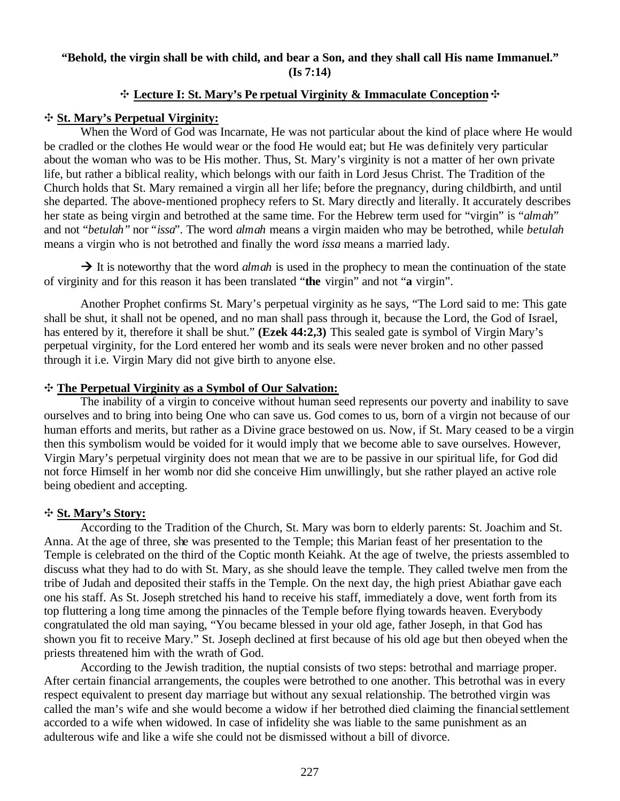# **"Behold, the virgin shall be with child, and bear a Son, and they shall call His name Immanuel." (Is 7:14)**

## <sup> $\div$ </sup> Lecture I: St. Mary's Pe rpetual Virginity & Immaculate Conception  $\div$

## E **St. Mary's Perpetual Virginity:**

When the Word of God was Incarnate, He was not particular about the kind of place where He would be cradled or the clothes He would wear or the food He would eat; but He was definitely very particular about the woman who was to be His mother. Thus, St. Mary's virginity is not a matter of her own private life, but rather a biblical reality, which belongs with our faith in Lord Jesus Christ. The Tradition of the Church holds that St. Mary remained a virgin all her life; before the pregnancy, during childbirth, and until she departed. The above-mentioned prophecy refers to St. Mary directly and literally. It accurately describes her state as being virgin and betrothed at the same time. For the Hebrew term used for "virgin" is "*almah*" and not "*betulah"* nor "*issa*". The word *almah* means a virgin maiden who may be betrothed, while *betulah* means a virgin who is not betrothed and finally the word *issa* means a married lady.

 $\rightarrow$  It is noteworthy that the word *almah* is used in the prophecy to mean the continuation of the state of virginity and for this reason it has been translated "**the** virgin" and not "**a** virgin".

Another Prophet confirms St. Mary's perpetual virginity as he says, "The Lord said to me: This gate shall be shut, it shall not be opened, and no man shall pass through it, because the Lord, the God of Israel, has entered by it, therefore it shall be shut." **(Ezek 44:2,3)** This sealed gate is symbol of Virgin Mary's perpetual virginity, for the Lord entered her womb and its seals were never broken and no other passed through it i.e. Virgin Mary did not give birth to anyone else.

## E **The Perpetual Virginity as a Symbol of Our Salvation:**

The inability of a virgin to conceive without human seed represents our poverty and inability to save ourselves and to bring into being One who can save us. God comes to us, born of a virgin not because of our human efforts and merits, but rather as a Divine grace bestowed on us. Now, if St. Mary ceased to be a virgin then this symbolism would be voided for it would imply that we become able to save ourselves. However, Virgin Mary's perpetual virginity does not mean that we are to be passive in our spiritual life, for God did not force Himself in her womb nor did she conceive Him unwillingly, but she rather played an active role being obedient and accepting.

#### E **St. Mary's Story:**

According to the Tradition of the Church, St. Mary was born to elderly parents: St. Joachim and St. Anna. At the age of three, she was presented to the Temple; this Marian feast of her presentation to the Temple is celebrated on the third of the Coptic month Keiahk. At the age of twelve, the priests assembled to discuss what they had to do with St. Mary, as she should leave the temple. They called twelve men from the tribe of Judah and deposited their staffs in the Temple. On the next day, the high priest Abiathar gave each one his staff. As St. Joseph stretched his hand to receive his staff, immediately a dove, went forth from its top fluttering a long time among the pinnacles of the Temple before flying towards heaven. Everybody congratulated the old man saying, "You became blessed in your old age, father Joseph, in that God has shown you fit to receive Mary." St. Joseph declined at first because of his old age but then obeyed when the priests threatened him with the wrath of God.

According to the Jewish tradition, the nuptial consists of two steps: betrothal and marriage proper. After certain financial arrangements, the couples were betrothed to one another. This betrothal was in every respect equivalent to present day marriage but without any sexual relationship. The betrothed virgin was called the man's wife and she would become a widow if her betrothed died claiming the financial settlement accorded to a wife when widowed. In case of infidelity she was liable to the same punishment as an adulterous wife and like a wife she could not be dismissed without a bill of divorce.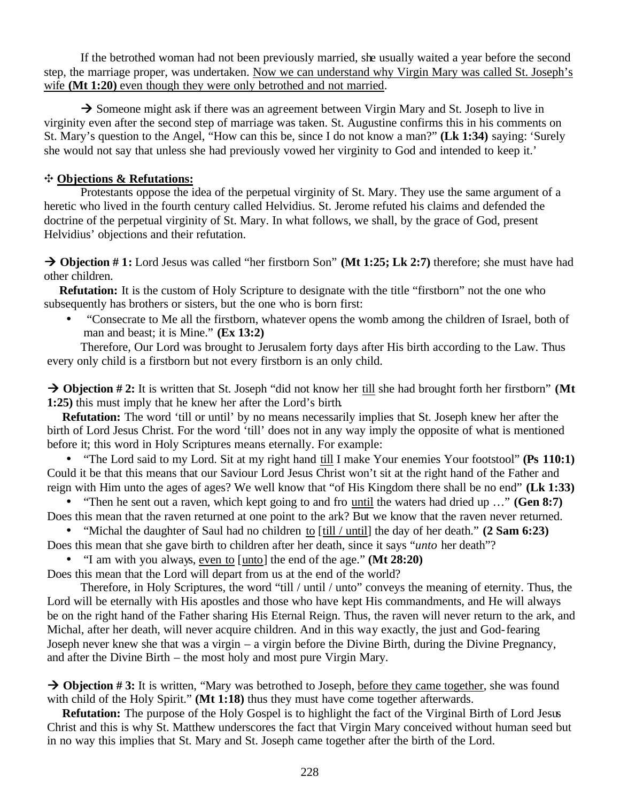If the betrothed woman had not been previously married, she usually waited a year before the second step, the marriage proper, was undertaken. Now we can understand why Virgin Mary was called St. Joseph's wife **(Mt 1:20)** even though they were only betrothed and not married.

 $\rightarrow$  Someone might ask if there was an agreement between Virgin Mary and St. Joseph to live in virginity even after the second step of marriage was taken. St. Augustine confirms this in his comments on St. Mary's question to the Angel, "How can this be, since I do not know a man?" **(Lk 1:34)** saying: 'Surely she would not say that unless she had previously vowed her virginity to God and intended to keep it.'

## E **Objections & Refutations:**

Protestants oppose the idea of the perpetual virginity of St. Mary. They use the same argument of a heretic who lived in the fourth century called Helvidius. St. Jerome refuted his claims and defended the doctrine of the perpetual virginity of St. Mary. In what follows, we shall, by the grace of God, present Helvidius' objections and their refutation.

 $\rightarrow$  **Objection # 1:** Lord Jesus was called "her firstborn Son" **(Mt 1:25; Lk 2:7)** therefore; she must have had other children.

**Refutation:** It is the custom of Holy Scripture to designate with the title "firstborn" not the one who subsequently has brothers or sisters, but the one who is born first:

• "Consecrate to Me all the firstborn, whatever opens the womb among the children of Israel, both of man and beast; it is Mine." **(Ex 13:2)**

Therefore, Our Lord was brought to Jerusalem forty days after His birth according to the Law. Thus every only child is a firstborn but not every firstborn is an only child.

 $\rightarrow$  **Objection # 2:** It is written that St. Joseph "did not know her till she had brought forth her firstborn" **(Mt 1:25)** this must imply that he knew her after the Lord's birth.

**Refutation:** The word 'till or until' by no means necessarily implies that St. Joseph knew her after the birth of Lord Jesus Christ. For the word 'till' does not in any way imply the opposite of what is mentioned before it; this word in Holy Scriptures means eternally. For example:

• "The Lord said to my Lord. Sit at my right hand till I make Your enemies Your footstool" **(Ps 110:1)** Could it be that this means that our Saviour Lord Jesus Christ won't sit at the right hand of the Father and reign with Him unto the ages of ages? We well know that "of His Kingdom there shall be no end" **(Lk 1:33)**

• "Then he sent out a raven, which kept going to and fro until the waters had dried up …" **(Gen 8:7)**  Does this mean that the raven returned at one point to the ark? But we know that the raven never returned.

• "Michal the daughter of Saul had no children to [till / until] the day of her death." **(2 Sam 6:23)** Does this mean that she gave birth to children after her death, since it says "*unto* her death"?

• "I am with you always, even to [unto] the end of the age." **(Mt 28:20)**

Does this mean that the Lord will depart from us at the end of the world?

Therefore, in Holy Scriptures, the word "till / until / unto" conveys the meaning of eternity. Thus, the Lord will be eternally with His apostles and those who have kept His commandments, and He will always be on the right hand of the Father sharing His Eternal Reign. Thus, the raven will never return to the ark, and Michal, after her death, will never acquire children. And in this way exactly, the just and God-fearing Joseph never knew she that was a virgin – a virgin before the Divine Birth, during the Divine Pregnancy, and after the Divine Birth – the most holy and most pure Virgin Mary.

 $\rightarrow$  **Objection # 3:** It is written, "Mary was betrothed to Joseph, before they came together, she was found with child of the Holy Spirit." **(Mt 1:18)** thus they must have come together afterwards.

**Refutation:** The purpose of the Holy Gospel is to highlight the fact of the Virginal Birth of Lord Jesus Christ and this is why St. Matthew underscores the fact that Virgin Mary conceived without human seed but in no way this implies that St. Mary and St. Joseph came together after the birth of the Lord.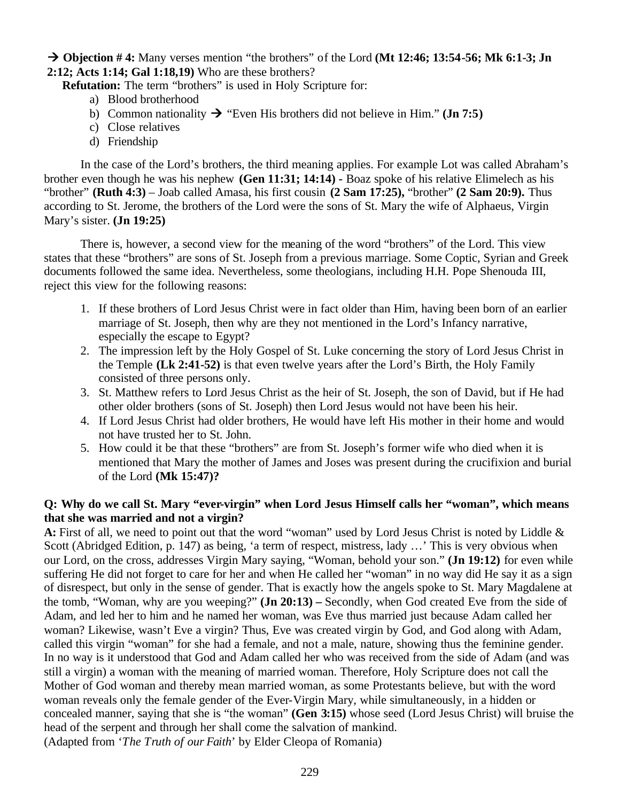$\rightarrow$  Objection # 4: Many verses mention "the brothers" of the Lord **(Mt 12:46; 13:54-56; Mk 6:1-3; Jn 2:12; Acts 1:14; Gal 1:18,19)** Who are these brothers?

 **Refutation:** The term "brothers" is used in Holy Scripture for:

- a) Blood brotherhood
- b) Common nationality  $\rightarrow$  "Even His brothers did not believe in Him." (**Jn 7:5**)
- c) Close relatives
- d) Friendship

In the case of the Lord's brothers, the third meaning applies. For example Lot was called Abraham's brother even though he was his nephew **(Gen 11:31; 14:14) -** Boaz spoke of his relative Elimelech as his "brother" **(Ruth 4:3)** – Joab called Amasa, his first cousin **(2 Sam 17:25),** "brother" **(2 Sam 20:9).** Thus according to St. Jerome, the brothers of the Lord were the sons of St. Mary the wife of Alphaeus, Virgin Mary's sister. **(Jn 19:25)** 

There is, however, a second view for the meaning of the word "brothers" of the Lord. This view states that these "brothers" are sons of St. Joseph from a previous marriage. Some Coptic, Syrian and Greek documents followed the same idea. Nevertheless, some theologians, including H.H. Pope Shenouda III, reject this view for the following reasons:

- 1. If these brothers of Lord Jesus Christ were in fact older than Him, having been born of an earlier marriage of St. Joseph, then why are they not mentioned in the Lord's Infancy narrative, especially the escape to Egypt?
- 2. The impression left by the Holy Gospel of St. Luke concerning the story of Lord Jesus Christ in the Temple **(Lk 2:41-52)** is that even twelve years after the Lord's Birth, the Holy Family consisted of three persons only.
- 3. St. Matthew refers to Lord Jesus Christ as the heir of St. Joseph, the son of David, but if He had other older brothers (sons of St. Joseph) then Lord Jesus would not have been his heir.
- 4. If Lord Jesus Christ had older brothers, He would have left His mother in their home and would not have trusted her to St. John.
- 5. How could it be that these "brothers" are from St. Joseph's former wife who died when it is mentioned that Mary the mother of James and Joses was present during the crucifixion and burial of the Lord **(Mk 15:47)?**

# **Q: Why do we call St. Mary "ever-virgin" when Lord Jesus Himself calls her "woman", which means that she was married and not a virgin?**

**A:** First of all, we need to point out that the word "woman" used by Lord Jesus Christ is noted by Liddle & Scott (Abridged Edition, p. 147) as being, 'a term of respect, mistress, lady ...' This is very obvious when our Lord, on the cross, addresses Virgin Mary saying, "Woman, behold your son." **(Jn 19:12)** for even while suffering He did not forget to care for her and when He called her "woman" in no way did He say it as a sign of disrespect, but only in the sense of gender. That is exactly how the angels spoke to St. Mary Magdalene at the tomb, "Woman, why are you weeping?" **(Jn 20:13) –** Secondly, when God created Eve from the side of Adam, and led her to him and he named her woman, was Eve thus married just because Adam called her woman? Likewise, wasn't Eve a virgin? Thus, Eve was created virgin by God, and God along with Adam, called this virgin "woman" for she had a female, and not a male, nature, showing thus the feminine gender. In no way is it understood that God and Adam called her who was received from the side of Adam (and was still a virgin) a woman with the meaning of married woman. Therefore, Holy Scripture does not call the Mother of God woman and thereby mean married woman, as some Protestants believe, but with the word woman reveals only the female gender of the Ever-Virgin Mary, while simultaneously, in a hidden or concealed manner, saying that she is "the woman" **(Gen 3:15)** whose seed (Lord Jesus Christ) will bruise the head of the serpent and through her shall come the salvation of mankind. (Adapted from '*The Truth of our Faith*' by Elder Cleopa of Romania)